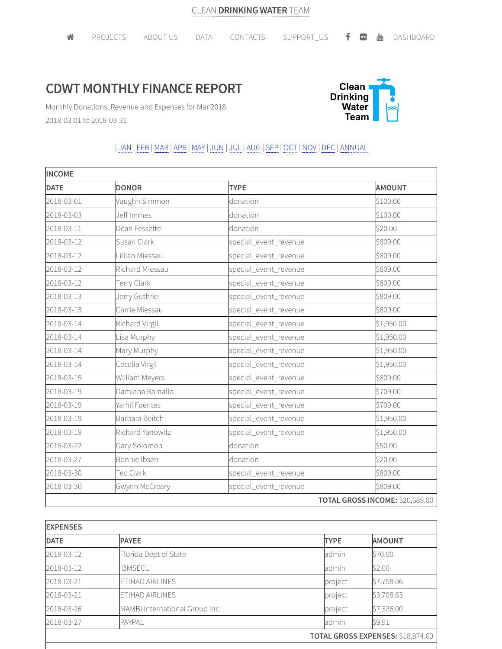## **CDWT MONTHLY FINANCE REPORT**



Monthly Donations, Revenue and Expenses for Mar 2018. 2018-03-01 to 2018-03-31

## | JAN | FEB |MAR |APR |MAY | JUN | JUL | AUG |SEP | OCT | NOV | DEC | ANNUAL

| <b>INCOME</b> |                  |                       |                                 |  |
|---------------|------------------|-----------------------|---------------------------------|--|
| <b>DATE</b>   | <b>DONOR</b>     | <b>TYPE</b>           | <b>AMOUNT</b>                   |  |
| 2018-03-01    | Vaughn Simmon    | donation              | \$100.00                        |  |
| 2018-03-03    | Jeff Immes       | donation              | \$100.00                        |  |
| 2018-03-11    | Dean Fessette    | donation              | \$20.00                         |  |
| 2018-03-12    | Susan Clark      | special_event_revenue | \$809.00                        |  |
| 2018-03-12    | Lillian Miessau  | special_event_revenue | \$809.00                        |  |
| 2018-03-12    | Richard Miessau  | special_event_revenue | \$809.00                        |  |
| 2018-03-12    | Terry Clark      | special_event_revenue | \$809.00                        |  |
| 2018-03-13    | Jerry Guthrie    | special_event_revenue | \$809.00                        |  |
| 2018-03-13    | Carrie Miessau   | special_event_revenue | \$809.00                        |  |
| 2018-03-14    | Richard Virgil   | special_event_revenue | \$1,950.00                      |  |
| 2018-03-14    | Lisa Murphy      | special_event_revenue | \$1,950.00                      |  |
| 2018-03-14    | Mary Murphy      | special_event_revenue | \$1,950.00                      |  |
| 2018-03-14    | Cecelia Virgil   | special_event_revenue | \$1,950.00                      |  |
| 2018-03-15    | William Meyers   | special_event_revenue | \$809.00                        |  |
| 2018-03-19    | Damiana Ramallo  | special_event_revenue | \$709.00                        |  |
| 2018-03-19    | Yamil Fuentes    | special_event_revenue | \$709.00                        |  |
| 2018-03-19    | Barbara Beitch   | special_event_revenue | \$1,950.00                      |  |
| 2018-03-19    | Richard Yanowitz | special_event_revenue | \$1,950.00                      |  |
| 2018-03-22    | Gary Solomon     | donation              | \$50.00                         |  |
| 2018-03-27    | Bonnie Ibsen     | donation              | \$20.00                         |  |
| 2018-03-30    | Ted Clark        | special_event_revenue | \$809.00                        |  |
| 2018-03-30    | Gwynn McCreary   | special_event_revenue | \$809.00                        |  |
|               |                  |                       | TOTAL GROSS INCOME: \$20,689.00 |  |

| <b>EXPENSES</b>                   |                               |             |               |  |
|-----------------------------------|-------------------------------|-------------|---------------|--|
| <b>DATE</b>                       | <b>PAYEE</b>                  | <b>TYPE</b> | <b>AMOUNT</b> |  |
| 2018-03-12                        | Florida Dept of State         | admin       | \$70.00       |  |
| 2018-03-12                        | <b>IBMSECU</b>                | admin       | \$2.00        |  |
| 2018-03-21                        | ETIHAD AIRLINES               | project     | \$7,758.06    |  |
| 2018-03-21                        | ETIHAD AIRLINES               | project     | \$3,708.63    |  |
| 2018-03-26                        | MAMBI International Group Inc | project     | \$7,326.00    |  |
| 2018-03-27                        | <b>PAYPAL</b>                 | admin       | \$9.91        |  |
| TOTAL GROSS EXPENSES: \$18,874.60 |                               |             |               |  |
|                                   |                               |             |               |  |